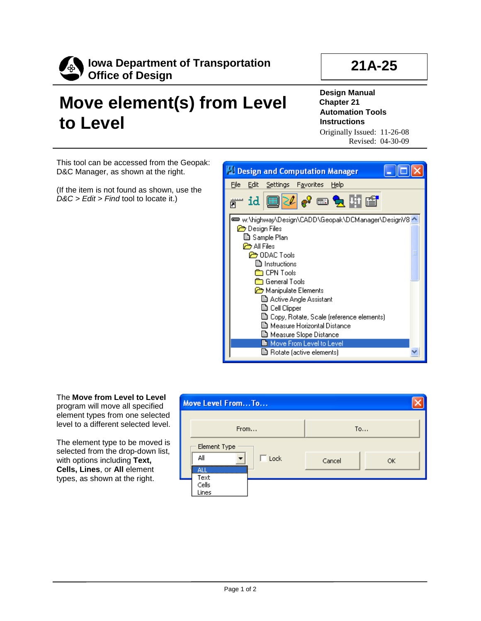

## **21A-25**

## **Move element(s) from Level to Level**

**Design Manual Chapter 21 Automation Tools Instructions** Originally Issued: 11-26-08

Revised: 04-30-09

This tool can be accessed from the Geopak: D&C Manager, as shown at the right.

(If the item is not found as shown, use the *D&C > Edit > Find* tool to locate it.)



The **Move from Level to Level** program will move all specified element types from one selected level to a different selected level.

The element type to be moved is selected from the drop-down list, with options including **Text, Cells, Lines**, or **All** element types, as shown at the right.

| Move Level FromTo                          |              |
|--------------------------------------------|--------------|
| From                                       | To           |
| Element Type<br>All<br>Lock<br>all<br>Text | Cancel<br>OK |
| Cells<br>Lines                             |              |